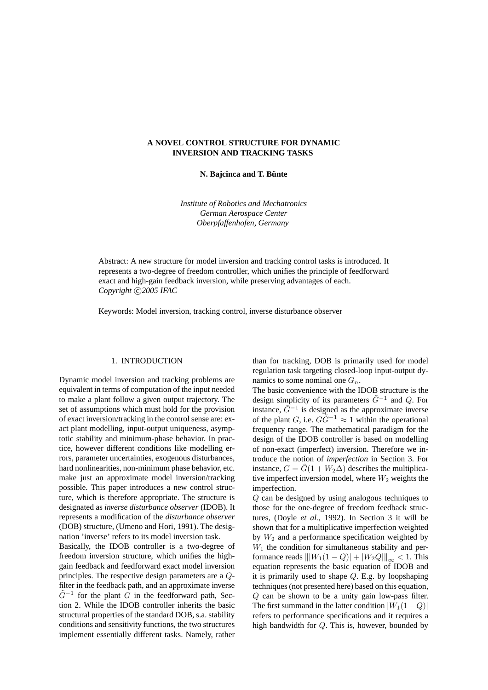# **A NOVEL CONTROL STRUCTURE FOR DYNAMIC INVERSION AND TRACKING TASKS**

**N. Bajcinca and T. Bunte ¨**

*Institute of Robotics and Mechatronics German Aerospace Center Oberpfaffenhofen, Germany*

Abstract: A new structure for model inversion and tracking control tasks is introduced. It represents a two-degree of freedom controller, which unifies the principle of feedforward exact and high-gain feedback inversion, while preserving advantages of each. Copyright  $\bigcirc$ 2005 IFAC

Keywords: Model inversion, tracking control, inverse disturbance observer

#### 1. INTRODUCTION

Dynamic model inversion and tracking problems are equivalent in terms of computation of the input needed to make a plant follow a given output trajectory. The set of assumptions which must hold for the provision of exact inversion/tracking in the control sense are: exact plant modelling, input-output uniqueness, asymptotic stability and minimum-phase behavior. In practice, however different conditions like modelling errors, parameter uncertainties, exogenous disturbances, hard nonlinearities, non-minimum phase behavior, etc. make just an approximate model inversion/tracking possible. This paper introduces a new control structure, which is therefore appropriate. The structure is designated as *inverse disturbance observer* (IDOB). It represents a modification of the *disturbance observer* (DOB) structure, (Umeno and Hori, 1991). The designation 'inverse' refers to its model inversion task.

Basically, the IDOB controller is a two-degree of freedom inversion structure, which unifies the highgain feedback and feedforward exact model inversion principles. The respective design parameters are a Qfilter in the feedback path, and an approximate inverse  $\tilde{G}^{-1}$  for the plant  $\tilde{G}$  in the feedforward path, Section 2. While the IDOB controller inherits the basic structural properties of the standard DOB, s.a. stability conditions and sensitivity functions, the two structures implement essentially different tasks. Namely, rather

than for tracking, DOB is primarily used for model regulation task targeting closed-loop input-output dynamics to some nominal one  $G_n$ .

The basic convenience with the IDOB structure is the design simplicity of its parameters  $\tilde{G}^{-1}$  and  $Q$ . For instance,  $\tilde{G}^{-1}$  is designed as the approximate inverse of the plant G, i.e.  $G\tilde{G}^{-1} \approx 1$  within the operational frequency range. The mathematical paradigm for the design of the IDOB controller is based on modelling of non-exact (imperfect) inversion. Therefore we introduce the notion of *imperfection* in Section 3. For instance,  $G = \tilde{G}(1 + W_2 \Delta)$  describes the multiplicative imperfect inversion model, where  $W_2$  weights the imperfection.

Q can be designed by using analogous techniques to those for the one-degree of freedom feedback structures, (Doyle *et al.*, 1992). In Section 3 it will be shown that for a multiplicative imperfection weighted by  $W_2$  and a performance specification weighted by  $W_1$  the condition for simultaneous stability and performance reads  $||W_1(1 - Q)|| + |W_2Q||_{\infty} < 1$ . This equation represents the basic equation of IDOB and it is primarily used to shape Q. E.g. by loopshaping techniques (not presented here) based on this equation, Q can be shown to be a unity gain low-pass filter. The first summand in the latter condition  $|W_1(1-Q)|$ refers to performance specifications and it requires a high bandwidth for Q. This is, however, bounded by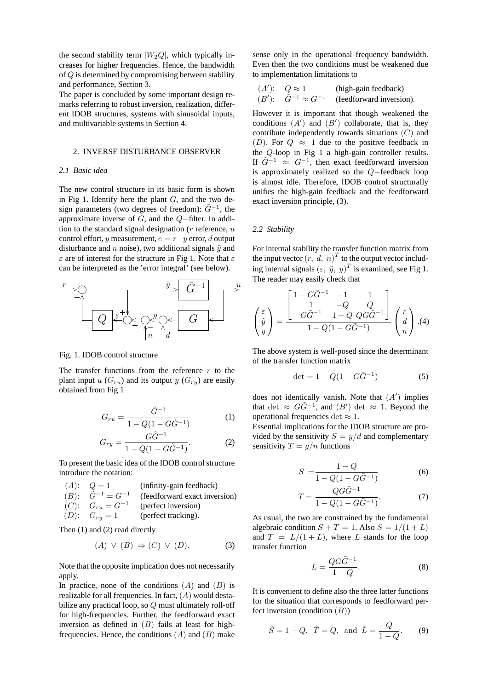the second stability term  $|W_2Q|$ , which typically increases for higher frequencies. Hence, the bandwidth of Q is determined by compromising between stability and performance, Section 3.

The paper is concluded by some important design remarks referring to robust inversion, realization, different IDOB structures, systems with sinusoidal inputs, and multivariable systems in Section 4.

### 2. INVERSE DISTURBANCE OBSERVER

## *2.1 Basic idea*

The new control structure in its basic form is shown in Fig 1. Identify here the plant  $G$ , and the two design parameters (two degrees of freedom):  $\tilde{G}^{-1}$ , the approximate inverse of G, and the Q−filter. In addition to the standard signal designation ( $r$  reference,  $u$ control effort, y measurement,  $e = r - y$  error, d output disturbance and n noise), two additional signals  $\tilde{y}$  and  $\varepsilon$  are of interest for the structure in Fig 1. Note that  $\varepsilon$ can be interpreted as the 'error integral' (see below).



Fig. 1. IDOB control structure

The transfer functions from the reference  $r$  to the plant input u  $(G_{ru})$  and its output y  $(G_{ry})$  are easily obtained from Fig 1

$$
G_{ru} = \frac{\tilde{G}^{-1}}{1 - Q(1 - G\tilde{G}^{-1})}
$$
 (1)

$$
G_{ry} = \frac{G\tilde{G}^{-1}}{1 - Q(1 - G\tilde{G}^{-1})}.
$$
 (2)

To present the basic idea of the IDOB control structure introduce the notation:

(A):  $Q = 1$  (infinity-gain feedback)  $(B)$ :  $\tilde{G}^{-1} = G^{-1}$ (feedforward exact inversion)  $(C): G_{ru} = G^{-1}$ (perfect inversion) (D):  $G_{ry} = 1$  (perfect tracking).

Then (1) and (2) read directly

$$
(A) \vee (B) \Rightarrow (C) \vee (D). \tag{3}
$$

Note that the opposite implication does not necessarily apply.

In practice, none of the conditions  $(A)$  and  $(B)$  is realizable for all frequencies. In fact,  $(A)$  would destabilize any practical loop, so Q must ultimately roll-off for high-frequencies. Further, the feedforward exact inversion as defined in  $(B)$  fails at least for highfrequencies. Hence, the conditions  $(A)$  and  $(B)$  make

sense only in the operational frequency bandwidth. Even then the two conditions must be weakened due to implementation limitations to

$$
(A')
$$
:  $Q \approx 1$  (high-gain feedback)  
\n $(B')$ :  $\tilde{G}^{-1} \approx G^{-1}$  (feedforward inversion).

However it is important that though weakened the conditions  $(A')$  and  $(B')$  collaborate, that is, they contribute independently towards situations (C) and (D). For  $Q \approx 1$  due to the positive feedback in the Q-loop in Fig 1 a high-gain controller results. If  $\tilde{G}^{-1} \approx G^{-1}$ , then exact feedforward inversion is approximately realized so the Q−feedback loop is almost idle. Therefore, IDOB control structurally unifies the high-gain feedback and the feedforward exact inversion principle, (3).

#### *2.2 Stability*

For internal stability the transfer function matrix from the input vector  $(r, d, n)^T$  to the output vector including internal signals  $(\varepsilon, \tilde{y}, y)^T$  is examined, see Fig 1. The reader may easily check that

$$
\begin{pmatrix} \varepsilon \\ \tilde{y} \\ y \end{pmatrix} = \frac{\begin{bmatrix} 1 - G\tilde{G}^{-1} & -1 & 1 \\ 1 & -Q & Q \\ G\tilde{G}^{-1} & 1 - Q & QG\tilde{G}^{-1} \end{bmatrix}}{1 - Q(1 - G\tilde{G}^{-1})} \begin{pmatrix} r \\ d \\ n \end{pmatrix} . (4)
$$

The above system is well-posed since the determinant of the transfer function matrix

$$
\det = 1 - Q(1 - G\tilde{G}^{-1})
$$
 (5)

does not identically vanish. Note that  $(A')$  implies that det  $\approx G\tilde{G}^{-1}$ , and  $(B')$  det  $\approx 1$ . Beyond the operational frequencies det  $\approx 1$ .

Essential implications for the IDOB structure are provided by the sensitivity  $S = y/d$  and complementary sensitivity  $T = y/n$  functions

$$
S = \frac{1 - Q}{1 - Q(1 - G\tilde{G}^{-1})}
$$
(6)

$$
T = \frac{QG\tilde{G}^{-1}}{1 - Q(1 - G\tilde{G}^{-1})}.
$$
 (7)

As usual, the two are constrained by the fundamental algebraic condition  $S + T = 1$ . Also  $S = 1/(1 + L)$ and  $T = L/(1 + L)$ , where L stands for the loop transfer function

$$
L = \frac{QG\tilde{G}^{-1}}{1 - Q}.\tag{8}
$$

It is convenient to define also the three latter functions for the situation that corresponds to feedforward perfect inversion (condition  $(B)$ )

$$
\tilde{S} = 1 - Q, \ \tilde{T} = Q, \text{ and } \tilde{L} = \frac{Q}{1 - Q}.
$$
 (9)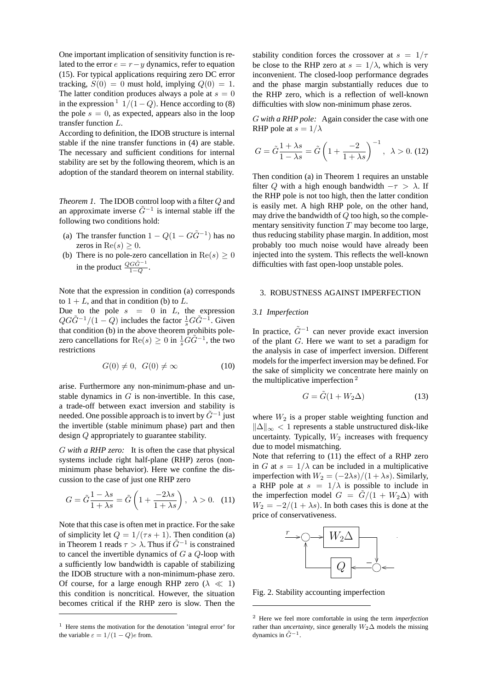One important implication of sensitivity function is related to the error  $e = r - y$  dynamics, refer to equation (15). For typical applications requiring zero DC error tracking,  $S(0) = 0$  must hold, implying  $Q(0) = 1$ . The latter condition produces always a pole at  $s = 0$ in the expression <sup>1</sup>  $1/(1 - Q)$ . Hence according to (8) the pole  $s = 0$ , as expected, appears also in the loop transfer function L.

According to definition, the IDOB structure is internal stable if the nine transfer functions in (4) are stable. The necessary and sufficient conditions for internal stability are set by the following theorem, which is an adoption of the standard theorem on internal stability.

*Theorem 1.* The IDOB control loop with a filter Q and an approximate inverse  $\tilde{G}^{-1}$  is internal stable iff the following two conditions hold:

- (a) The transfer function  $1 Q(1 G\tilde{G}^{-1})$  has no zeros in  $\text{Re}(s) \geq 0$ .
- (b) There is no pole-zero cancellation in  $Re(s) \ge 0$ in the product  $\frac{Q G \tilde{G}^{-1}}{1 - Q}$ .

Note that the expression in condition (a) corresponds to  $1 + L$ , and that in condition (b) to L.

Due to the pole  $s = 0$  in L, the expression  $QG\tilde{G}^{-1}/(1-Q)$  includes the factor  $\frac{1}{s}G\tilde{G}^{-1}$ . Given that condition (b) in the above theorem prohibits polezero cancellations for  $\text{Re}(s) \ge 0$  in  $\frac{1}{s} \tilde{G} \tilde{G}^{-1}$ , the two restrictions

$$
G(0) \neq 0, \ G(0) \neq \infty \tag{10}
$$

arise. Furthermore any non-minimum-phase and unstable dynamics in  $G$  is non-invertible. In this case, a trade-off between exact inversion and stability is needed. One possible approach is to invert by  $\tilde{G}^{-1}$  just the invertible (stable minimum phase) part and then design Q appropriately to guarantee stability.

G *with a RHP zero:* It is often the case that physical systems include right half-plane (RHP) zeros (nonminimum phase behavior). Here we confine the discussion to the case of just one RHP zero

$$
G = \tilde{G} \frac{1 - \lambda s}{1 + \lambda s} = \tilde{G} \left( 1 + \frac{-2\lambda s}{1 + \lambda s} \right), \ \lambda > 0. \tag{11}
$$

Note that this case is often met in practice. For the sake of simplicity let  $Q = 1/(\tau s + 1)$ . Then condition (a) in Theorem 1 reads  $\tau > \lambda$ . Thus if  $\tilde{G}^{-1}$  is constrained to cancel the invertible dynamics of G a Q-loop with a sufficiently low bandwidth is capable of stabilizing the IDOB structure with a non-minimum-phase zero. Of course, for a large enough RHP zero ( $\lambda \ll 1$ ) this condition is noncritical. However, the situation becomes critical if the RHP zero is slow. Then the

stability condition forces the crossover at  $s = 1/\tau$ be close to the RHP zero at  $s = 1/\lambda$ , which is very inconvenient. The closed-loop performance degrades and the phase margin substantially reduces due to the RHP zero, which is a reflection of well-known difficulties with slow non-minimum phase zeros.

G *with a RHP pole:* Again consider the case with one RHP pole at  $s = 1/\lambda$ 

$$
G = \tilde{G} \frac{1 + \lambda s}{1 - \lambda s} = \tilde{G} \left( 1 + \frac{-2}{1 + \lambda s} \right)^{-1}, \ \lambda > 0. \ (12)
$$

Then condition (a) in Theorem 1 requires an unstable filter Q with a high enough bandwidth  $-\tau > \lambda$ . If the RHP pole is not too high, then the latter condition is easily met. A high RHP pole, on the other hand, may drive the bandwidth of  $Q$  too high, so the complementary sensitivity function  $T$  may become too large, thus reducing stability phase margin. In addition, most probably too much noise would have already been injected into the system. This reflects the well-known difficulties with fast open-loop unstable poles.

# 3. ROBUSTNESS AGAINST IMPERFECTION

## *3.1 Imperfection*

In practice,  $\tilde{G}^{-1}$  can never provide exact inversion of the plant G. Here we want to set a paradigm for the analysis in case of imperfect inversion. Different models for the imperfect inversion may be defined. For the sake of simplicity we concentrate here mainly on the multiplicative imperfection <sup>2</sup>

$$
G = \tilde{G}(1 + W_2 \Delta) \tag{13}
$$

where  $W_2$  is a proper stable weighting function and  $||\Delta||_{\infty}$  < 1 represents a stable unstructured disk-like uncertainty. Typically,  $W_2$  increases with frequency due to model mismatching.

Note that referring to (11) the effect of a RHP zero in G at  $s = 1/\lambda$  can be included in a multiplicative imperfection with  $W_2 = (-2\lambda s)/(1 + \lambda s)$ . Similarly, a RHP pole at  $s = 1/\lambda$  is possible to include in the imperfection model  $G = \tilde{G}/(1 + W_2 \Delta)$  with  $W_2 = -2/(1 + \lambda s)$ . In both cases this is done at the price of conservativeness.



Fig. 2. Stability accounting imperfection

<sup>&</sup>lt;sup>1</sup> Here stems the motivation for the denotation 'integral error' for the variable  $\varepsilon = 1/(1 - Q)e$  from.

<sup>2</sup> Here we feel more comfortable in using the term *imperfection* rather than *uncertainty*, since generally  $W_2\Delta$  models the missing dynamics in  $\tilde{G}^{-1}$ .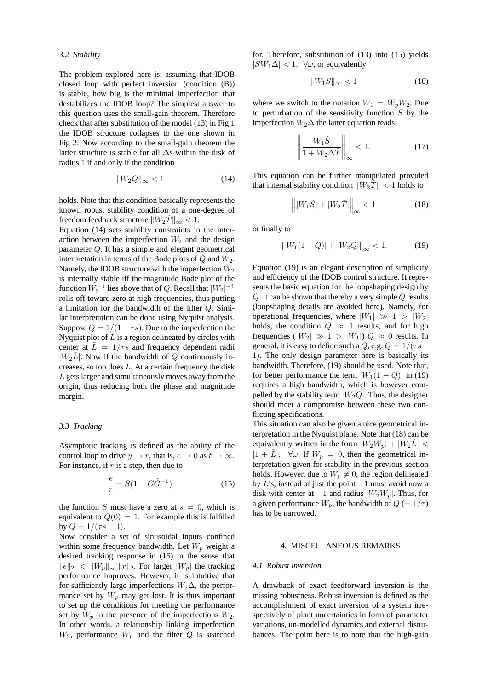#### *3.2 Stability*

The problem explored here is: assuming that IDOB closed loop with perfect inversion (condition (B)) is stable, how big is the minimal imperfection that destabilizes the IDOB loop? The simplest answer to this question uses the small-gain theorem. Therefore check that after substitution of the model (13) in Fig 1 the IDOB structure collapses to the one shown in Fig 2. Now according to the small-gain theorem the latter structure is stable for all ∆s within the disk of radius 1 if and only if the condition

$$
||W_2Q||_{\infty} < 1\tag{14}
$$

holds. Note that this condition basically represents the known robust stability condition of a one-degree of freedom feedback structure  $||W_2\tilde{T}||_{\infty} < 1$ .

Equation (14) sets stability constraints in the interaction between the imperfection  $W_2$  and the design parameter Q. It has a simple and elegant geometrical interpretation in terms of the Bode plots of  $Q$  and  $W_2$ . Namely, the IDOB structure with the imperfection  $W_2$ is internally stable iff the magnitude Bode plot of the function  $W_2^{-1}$  lies above that of Q. Recall that  $|W_2|^{-1}$ rolls off toward zero at high frequencies, thus putting a limitation for the bandwidth of the filter Q. Similar interpretation can be done using Nyquist analysis. Suppose  $Q = 1/(1 + \tau s)$ . Due to the imperfection the Nyquist plot of  $L$  is a region delineated by circles with center at  $\tilde{L} = 1/\tau s$  and frequency dependent radii  $|W_2\tilde{L}|$ . Now if the bandwidth of Q continuously increases, so too does  $\tilde{L}$ . At a certain frequency the disk L gets larger and simultaneously moves away from the origin, thus reducing both the phase and magnitude margin.

#### *3.3 Tracking*

Asymptotic tracking is defined as the ability of the control loop to drive  $y \to r$ , that is,  $e \to 0$  as  $t \to \infty$ . For instance, if  $r$  is a step, then due to

$$
\frac{e}{r} = S(1 - G\tilde{G}^{-1})
$$
\n(15)

the function S must have a zero at  $s = 0$ , which is equivalent to  $Q(0) = 1$ . For example this is fulfilled by  $Q = 1/(\tau s + 1)$ .

Now consider a set of sinusoidal inputs confined within some frequency bandwidth. Let  $W_p$  weight a desired tracking response in (15) in the sense that  $||e||_2 < ||W_p||_{\infty}^{-1} ||r||_2$ . For larger  $|W_p|$  the tracking performance improves. However, it is intuitive that for sufficiently large imperfections  $W_2\Delta$ , the performance set by  $W_p$  may get lost. It is thus important to set up the conditions for meeting the performance set by  $W_p$  in the presence of the imperfections  $W_2$ . In other words, a relationship linking imperfection  $W_2$ , performance  $W_p$  and the filter Q is searched for. Therefore, substitution of (13) into (15) yields  $|SW_1\Delta| < 1$ ,  $\forall \omega$ , or equivalently

$$
||W_1S||_{\infty} < 1 \tag{16}
$$

where we switch to the notation  $W_1 = W_p W_2$ . Due to perturbation of the sensitivity function  $S$  by the imperfection  $W_2\Delta$  the latter equation reads

$$
\left\| \frac{W_1 \tilde{S}}{1 + W_2 \Delta \tilde{T}} \right\|_{\infty} < 1.
$$
 (17)

This equation can be further manipulated provided that internal stability condition  $||W_2T|| < 1$  holds to

$$
\left\| |W_1 \tilde{S}| + |W_2 \tilde{T}| \right\|_{\infty} < 1 \tag{18}
$$

or finally to

$$
\| |W_1(1 - Q)| + |W_2 Q| \|_{\infty} < 1.
$$
 (19)

Equation (19) is an elegant description of simplicity and efficiency of the IDOB control structure. It represents the basic equation for the loopshaping design by Q. It can be shown that thereby a very simple Q results (loopshaping details are avoided here). Namely, for operational frequencies, where  $|W_1| \gg 1 > |W_2|$ holds, the condition  $Q \approx 1$  results, and for high frequencies ( $|W_2| \gg 1 > |W_1|$ )  $Q \approx 0$  results. In general, it is easy to define such a Q, e.g.  $Q = 1/(\tau s +$ 1). The only design parameter here is basically its bandwidth. Therefore, (19) should be used. Note that, for better performance the term  $|W_1(1 - Q)|$  in (19) requires a high bandwidth, which is however compelled by the stability term  $|W_2Q|$ . Thus, the designer should meet a compromise between these two conflicting specifications.

This situation can also be given a nice geometrical interpretation in the Nyquist plane. Note that (18) can be equivalently written in the form  $|W_2W_p| + |W_2L|$  <  $|1 + \tilde{L}|$ ,  $\forall \omega$ . If  $W_p = 0$ , then the geometrical interpretation given for stability in the previous section holds. However, due to  $W_p \neq 0$ , the region delineated by L's, instead of just the point  $-1$  must avoid now a disk with center at  $-1$  and radius  $|W_2W_p|$ . Thus, for a given performance  $W_p$ , the bandwidth of  $Q = 1/\tau$ ) has to be narrowed.

## 4. MISCELLANEOUS REMARKS

#### *4.1 Robust inversion*

A drawback of exact feedforward inversion is the missing robustness. Robust inversion is defined as the accomplishment of exact inversion of a system irrespectively of plant uncertainties in form of parameter variations, un-modelled dynamics and external disturbances. The point here is to note that the high-gain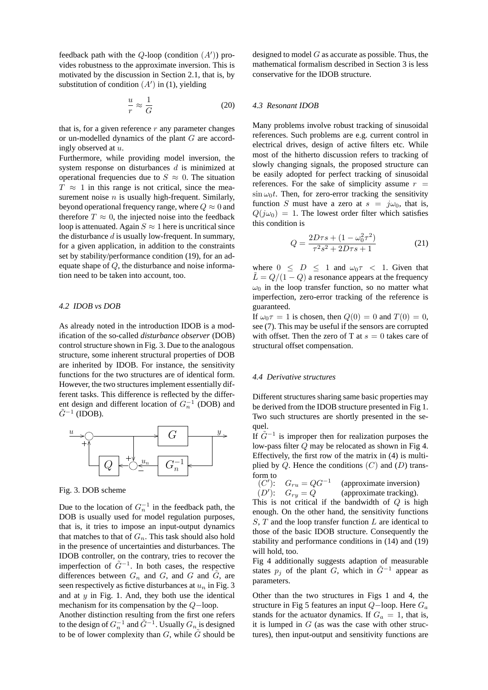feedback path with the  $Q$ -loop (condition  $(A')$ ) provides robustness to the approximate inversion. This is motivated by the discussion in Section 2.1, that is, by substitution of condition  $(A')$  in (1), yielding

$$
\frac{u}{r} \approx \frac{1}{G} \tag{20}
$$

that is, for a given reference  $r$  any parameter changes or un-modelled dynamics of the plant G are accordingly observed at u.

Furthermore, while providing model inversion, the system response on disturbances d is minimized at operational frequencies due to  $S \approx 0$ . The situation  $T \approx 1$  in this range is not critical, since the measurement noise  $n$  is usually high-frequent. Similarly, beyond operational frequency range, where  $Q \approx 0$  and therefore  $T \approx 0$ , the injected noise into the feedback loop is attenuated. Again  $S \approx 1$  here is uncritical since the disturbance  $d$  is usually low-frequent. In summary, for a given application, in addition to the constraints set by stability/performance condition (19), for an adequate shape of Q, the disturbance and noise information need to be taken into account, too.

#### *4.2 IDOB vs DOB*

As already noted in the introduction IDOB is a modification of the so-called *disturbance observer* (DOB) control structure shown in Fig. 3. Due to the analogous structure, some inherent structural properties of DOB are inherited by IDOB. For instance, the sensitivity functions for the two structures are of identical form. However, the two structures implement essentially different tasks. This difference is reflected by the different design and different location of  $G_n^{-1}$  (DOB) and  $\tilde{G}^{-1}$  (IDOB).



Fig. 3. DOB scheme

Due to the location of  $G_n^{-1}$  in the feedback path, the DOB is usually used for model regulation purposes, that is, it tries to impose an input-output dynamics that matches to that of  $G_n$ . This task should also hold in the presence of uncertainties and disturbances. The IDOB controller, on the contrary, tries to recover the imperfection of  $\tilde{G}^{-1}$ . In both cases, the respective differences between  $G_n$  and  $G$ , and  $G$  and  $\tilde{G}$ , are seen respectively as fictive disturbances at  $u_n$  in Fig. 3 and at  $y$  in Fig. 1. And, they both use the identical mechanism for its compensation by the Q−loop.

Another distinction resulting from the first one refers to the design of  $G_n^{-1}$  and  $\tilde{G}^{-1}$ . Usually  $G_n$  is designed to be of lower complexity than  $G$ , while  $\tilde{G}$  should be designed to model  $G$  as accurate as possible. Thus, the mathematical formalism described in Section 3 is less conservative for the IDOB structure.

## *4.3 Resonant IDOB*

Many problems involve robust tracking of sinusoidal references. Such problems are e.g. current control in electrical drives, design of active filters etc. While most of the hitherto discussion refers to tracking of slowly changing signals, the proposed structure can be easily adopted for perfect tracking of sinusoidal references. For the sake of simplicity assume  $r =$  $\sin \omega_0 t$ . Then, for zero-error tracking the sensitivity function S must have a zero at  $s = j\omega_0$ , that is,  $Q(i\omega_0) = 1$ . The lowest order filter which satisfies this condition is

$$
Q = \frac{2D\tau s + (1 - \omega_0^2 \tau^2)}{\tau^2 s^2 + 2D\tau s + 1}
$$
 (21)

where  $0 \leq D \leq 1$  and  $\omega_0 \tau \leq 1$ . Given that  $\tilde{L} = Q/(1 - Q)$  a resonance appears at the frequency  $\omega_0$  in the loop transfer function, so no matter what imperfection, zero-error tracking of the reference is guaranteed.

If  $\omega_0 \tau = 1$  is chosen, then  $Q(0) = 0$  and  $T(0) = 0$ , see (7). This may be useful if the sensors are corrupted with offset. Then the zero of T at  $s = 0$  takes care of structural offset compensation.

# *4.4 Derivative structures*

Different structures sharing same basic properties may be derived from the IDOB structure presented in Fig 1. Two such structures are shortly presented in the sequel.

If  $\tilde{G}^{-1}$  is improper then for realization purposes the low-pass filter Q may be relocated as shown in Fig 4. Effectively, the first row of the matrix in (4) is multiplied by  $Q$ . Hence the conditions  $(C)$  and  $(D)$  transform to

(C'):  $G_{ru} = QG^{-1}$  (approximate inversion)  $(D')$ :  $G_{ry} = Q$ (approximate tracking). This is not critical if the bandwidth of  $Q$  is high enough. On the other hand, the sensitivity functions  $S, T$  and the loop transfer function  $L$  are identical to those of the basic IDOB structure. Consequently the stability and performance conditions in (14) and (19) will hold, too.

Fig 4 additionally suggests adaption of measurable states  $p_j$  of the plant G, which in  $\tilde{G}^{-1}$  appear as parameters.

Other than the two structures in Figs 1 and 4, the structure in Fig 5 features an input  $Q$ -loop. Here  $G_a$ stands for the actuator dynamics. If  $G_a = 1$ , that is, it is lumped in  $G$  (as was the case with other structures), then input-output and sensitivity functions are